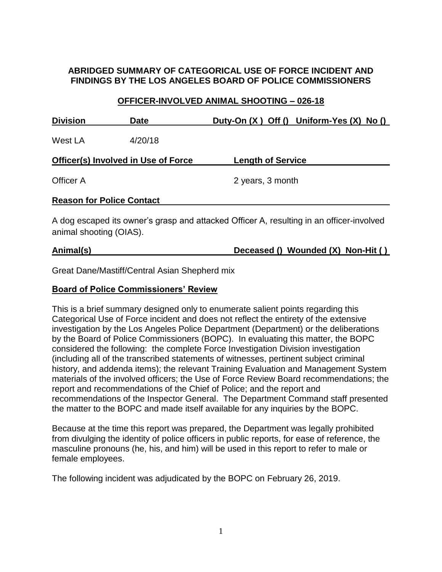### **ABRIDGED SUMMARY OF CATEGORICAL USE OF FORCE INCIDENT AND FINDINGS BY THE LOS ANGELES BOARD OF POLICE COMMISSIONERS**

#### **OFFICER-INVOLVED ANIMAL SHOOTING – 026-18**

| <b>Division</b>                            | <b>Date</b> |                          | Duty-On $(X)$ Off $()$ Uniform-Yes $(X)$ No $()$ |
|--------------------------------------------|-------------|--------------------------|--------------------------------------------------|
| West LA                                    | 4/20/18     |                          |                                                  |
| <b>Officer(s) Involved in Use of Force</b> |             | <b>Length of Service</b> |                                                  |
| Officer A                                  |             | 2 years, 3 month         |                                                  |
| <b>Reason for Police Contact</b>           |             |                          |                                                  |

A dog escaped its owner's grasp and attacked Officer A, resulting in an officer-involved animal shooting (OIAS).

# **Animal(s) Deceased () Wounded (X) Non-Hit ( )**

Great Dane/Mastiff/Central Asian Shepherd mix

#### **Board of Police Commissioners' Review**

This is a brief summary designed only to enumerate salient points regarding this Categorical Use of Force incident and does not reflect the entirety of the extensive investigation by the Los Angeles Police Department (Department) or the deliberations by the Board of Police Commissioners (BOPC). In evaluating this matter, the BOPC considered the following: the complete Force Investigation Division investigation (including all of the transcribed statements of witnesses, pertinent subject criminal history, and addenda items); the relevant Training Evaluation and Management System materials of the involved officers; the Use of Force Review Board recommendations; the report and recommendations of the Chief of Police; and the report and recommendations of the Inspector General. The Department Command staff presented the matter to the BOPC and made itself available for any inquiries by the BOPC.

Because at the time this report was prepared, the Department was legally prohibited from divulging the identity of police officers in public reports, for ease of reference, the masculine pronouns (he, his, and him) will be used in this report to refer to male or female employees.

The following incident was adjudicated by the BOPC on February 26, 2019.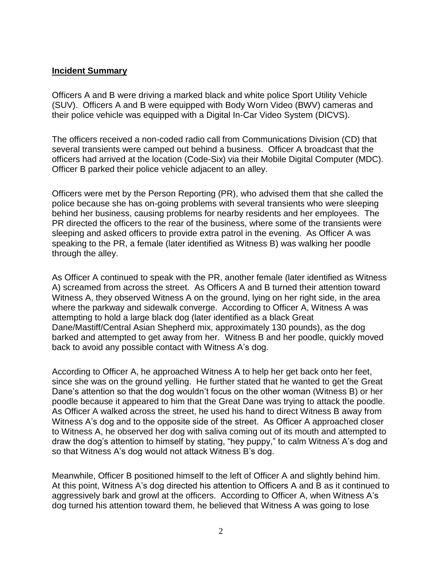#### **Incident Summary**

Officers A and B were driving a marked black and white police Sport Utility Vehicle (SUV). Officers A and B were equipped with Body Worn Video (BWV) cameras and their police vehicle was equipped with a Digital In-Car Video System (DICVS).

The officers received a non-coded radio call from Communications Division (CD) that several transients were camped out behind a business. Officer A broadcast that the officers had arrived at the location (Code-Six) via their Mobile Digital Computer (MDC). Officer B parked their police vehicle adjacent to an alley.

Officers were met by the Person Reporting (PR), who advised them that she called the police because she has on-going problems with several transients who were sleeping behind her business, causing problems for nearby residents and her employees. The PR directed the officers to the rear of the business, where some of the transients were sleeping and asked officers to provide extra patrol in the evening. As Officer A was speaking to the PR, a female (later identified as Witness B) was walking her poodle through the alley.

As Officer A continued to speak with the PR, another female (later identified as Witness A) screamed from across the street. As Officers A and B turned their attention toward Witness A, they observed Witness A on the ground, lying on her right side, in the area where the parkway and sidewalk converge. According to Officer A, Witness A was attempting to hold a large black dog (later identified as a black Great Dane/Mastiff/Central Asian Shepherd mix, approximately 130 pounds), as the dog barked and attempted to get away from her. Witness B and her poodle, quickly moved back to avoid any possible contact with Witness A's dog.

According to Officer A, he approached Witness A to help her get back onto her feet, since she was on the ground yelling. He further stated that he wanted to get the Great Dane's attention so that the dog wouldn't focus on the other woman (Witness B) or her poodle because it appeared to him that the Great Dane was trying to attack the poodle. As Officer A walked across the street, he used his hand to direct Witness B away from Witness A's dog and to the opposite side of the street. As Officer A approached closer to Witness A, he observed her dog with saliva coming out of its mouth and attempted to draw the dog's attention to himself by stating, "hey puppy," to calm Witness A's dog and so that Witness A's dog would not attack Witness B's dog.

Meanwhile, Officer B positioned himself to the left of Officer A and slightly behind him. At this point, Witness A's dog directed his attention to Officers A and B as it continued to aggressively bark and growl at the officers. According to Officer A, when Witness A's dog turned his attention toward them, he believed that Witness A was going to lose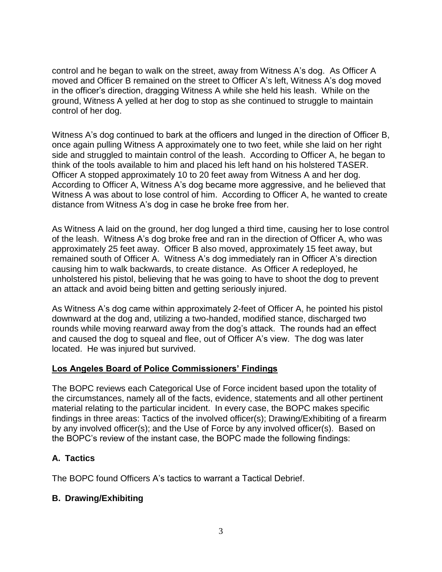control and he began to walk on the street, away from Witness A's dog. As Officer A moved and Officer B remained on the street to Officer A's left, Witness A's dog moved in the officer's direction, dragging Witness A while she held his leash. While on the ground, Witness A yelled at her dog to stop as she continued to struggle to maintain control of her dog.

Witness A's dog continued to bark at the officers and lunged in the direction of Officer B, once again pulling Witness A approximately one to two feet, while she laid on her right side and struggled to maintain control of the leash. According to Officer A, he began to think of the tools available to him and placed his left hand on his holstered TASER. Officer A stopped approximately 10 to 20 feet away from Witness A and her dog. According to Officer A, Witness A's dog became more aggressive, and he believed that Witness A was about to lose control of him. According to Officer A, he wanted to create distance from Witness A's dog in case he broke free from her.

As Witness A laid on the ground, her dog lunged a third time, causing her to lose control of the leash. Witness A's dog broke free and ran in the direction of Officer A, who was approximately 25 feet away. Officer B also moved, approximately 15 feet away, but remained south of Officer A. Witness A's dog immediately ran in Officer A's direction causing him to walk backwards, to create distance. As Officer A redeployed, he unholstered his pistol, believing that he was going to have to shoot the dog to prevent an attack and avoid being bitten and getting seriously injured.

As Witness A's dog came within approximately 2-feet of Officer A, he pointed his pistol downward at the dog and, utilizing a two-handed, modified stance, discharged two rounds while moving rearward away from the dog's attack. The rounds had an effect and caused the dog to squeal and flee, out of Officer A's view. The dog was later located. He was injured but survived.

### **Los Angeles Board of Police Commissioners' Findings**

The BOPC reviews each Categorical Use of Force incident based upon the totality of the circumstances, namely all of the facts, evidence, statements and all other pertinent material relating to the particular incident. In every case, the BOPC makes specific findings in three areas: Tactics of the involved officer(s); Drawing/Exhibiting of a firearm by any involved officer(s); and the Use of Force by any involved officer(s). Based on the BOPC's review of the instant case, the BOPC made the following findings:

# **A. Tactics**

The BOPC found Officers A's tactics to warrant a Tactical Debrief.

### **B. Drawing/Exhibiting**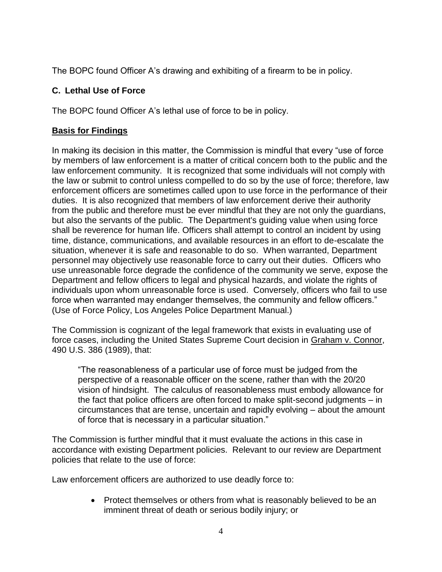The BOPC found Officer A's drawing and exhibiting of a firearm to be in policy.

## **C. Lethal Use of Force**

The BOPC found Officer A's lethal use of force to be in policy.

### **Basis for Findings**

In making its decision in this matter, the Commission is mindful that every "use of force by members of law enforcement is a matter of critical concern both to the public and the law enforcement community. It is recognized that some individuals will not comply with the law or submit to control unless compelled to do so by the use of force; therefore, law enforcement officers are sometimes called upon to use force in the performance of their duties. It is also recognized that members of law enforcement derive their authority from the public and therefore must be ever mindful that they are not only the guardians, but also the servants of the public. The Department's guiding value when using force shall be reverence for human life. Officers shall attempt to control an incident by using time, distance, communications, and available resources in an effort to de-escalate the situation, whenever it is safe and reasonable to do so. When warranted, Department personnel may objectively use reasonable force to carry out their duties. Officers who use unreasonable force degrade the confidence of the community we serve, expose the Department and fellow officers to legal and physical hazards, and violate the rights of individuals upon whom unreasonable force is used. Conversely, officers who fail to use force when warranted may endanger themselves, the community and fellow officers." (Use of Force Policy, Los Angeles Police Department Manual.)

The Commission is cognizant of the legal framework that exists in evaluating use of force cases, including the United States Supreme Court decision in Graham v. Connor, 490 U.S. 386 (1989), that:

"The reasonableness of a particular use of force must be judged from the perspective of a reasonable officer on the scene, rather than with the 20/20 vision of hindsight. The calculus of reasonableness must embody allowance for the fact that police officers are often forced to make split-second judgments – in circumstances that are tense, uncertain and rapidly evolving – about the amount of force that is necessary in a particular situation."

The Commission is further mindful that it must evaluate the actions in this case in accordance with existing Department policies. Relevant to our review are Department policies that relate to the use of force:

Law enforcement officers are authorized to use deadly force to:

• Protect themselves or others from what is reasonably believed to be an imminent threat of death or serious bodily injury; or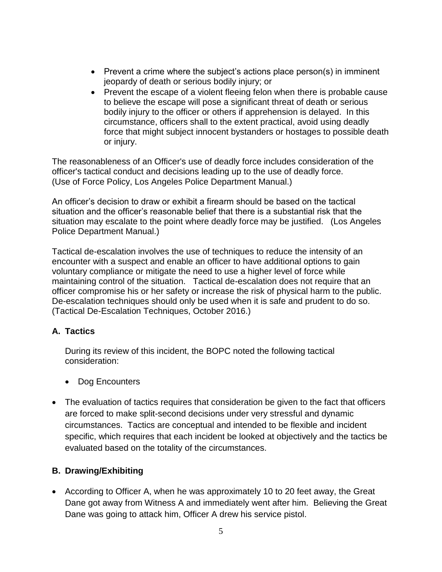- Prevent a crime where the subject's actions place person(s) in imminent jeopardy of death or serious bodily injury; or
- Prevent the escape of a violent fleeing felon when there is probable cause to believe the escape will pose a significant threat of death or serious bodily injury to the officer or others if apprehension is delayed. In this circumstance, officers shall to the extent practical, avoid using deadly force that might subject innocent bystanders or hostages to possible death or injury.

The reasonableness of an Officer's use of deadly force includes consideration of the officer's tactical conduct and decisions leading up to the use of deadly force. (Use of Force Policy, Los Angeles Police Department Manual.)

An officer's decision to draw or exhibit a firearm should be based on the tactical situation and the officer's reasonable belief that there is a substantial risk that the situation may escalate to the point where deadly force may be justified. (Los Angeles Police Department Manual.)

Tactical de-escalation involves the use of techniques to reduce the intensity of an encounter with a suspect and enable an officer to have additional options to gain voluntary compliance or mitigate the need to use a higher level of force while maintaining control of the situation. Tactical de-escalation does not require that an officer compromise his or her safety or increase the risk of physical harm to the public. De-escalation techniques should only be used when it is safe and prudent to do so. (Tactical De-Escalation Techniques, October 2016.)

# **A. Tactics**

During its review of this incident, the BOPC noted the following tactical consideration:

- Dog Encounters
- The evaluation of tactics requires that consideration be given to the fact that officers are forced to make split-second decisions under very stressful and dynamic circumstances. Tactics are conceptual and intended to be flexible and incident specific, which requires that each incident be looked at objectively and the tactics be evaluated based on the totality of the circumstances.

### **B. Drawing/Exhibiting**

• According to Officer A, when he was approximately 10 to 20 feet away, the Great Dane got away from Witness A and immediately went after him. Believing the Great Dane was going to attack him, Officer A drew his service pistol.